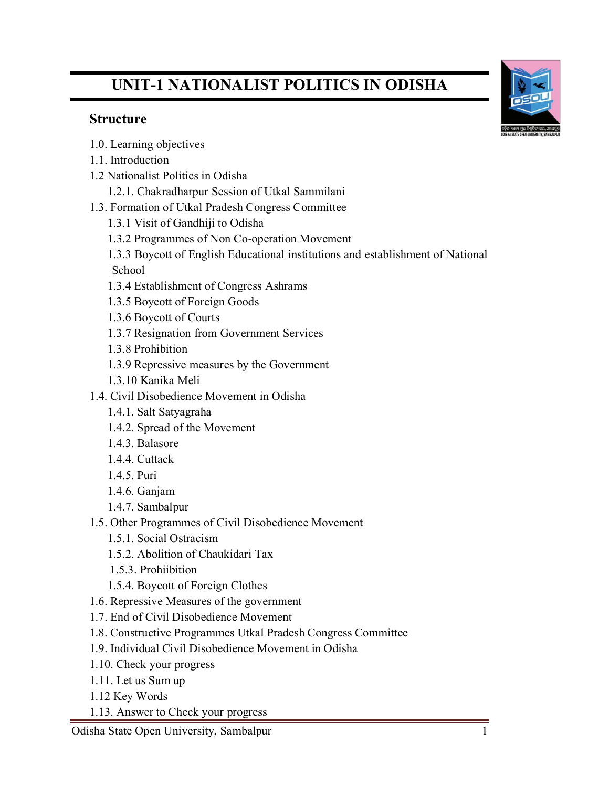# **UNIT-1 NATIONALIST POLITICS IN ODISHA**

# **Structure**

- 1.0. Learning objectives
- 1.1. Introduction
- 1.2 Nationalist Politics in Odisha
	- 1.2.1. Chakradharpur Session of Utkal Sammilani
- 1.3. Formation of Utkal Pradesh Congress Committee
	- 1.3.1 Visit of Gandhiji to Odisha
	- 1.3.2 Programmes of Non Co-operation Movement
	- 1.3.3 Boycott of English Educational institutions and establishment of National School
	- 1.3.4 Establishment of Congress Ashrams
	- 1.3.5 Boycott of Foreign Goods
	- 1.3.6 Boycott of Courts
	- 1.3.7 Resignation from Government Services
	- 1.3.8 Prohibition
	- 1.3.9 Repressive measures by the Government
	- 1.3.10 Kanika Meli
- 1.4. Civil Disobedience Movement in Odisha
	- 1.4.1. Salt Satyagraha
	- 1.4.2. Spread of the Movement
	- 1.4.3. Balasore
	- 1.4.4. Cuttack
	- 1.4.5. Puri
	- 1.4.6. Ganjam
	- 1.4.7. Sambalpur
- 1.5. Other Programmes of Civil Disobedience Movement
	- 1.5.1. Social Ostracism
	- 1.5.2. Abolition of Chaukidari Tax
	- 1.5.3. Prohiibition
	- 1.5.4. Boycott of Foreign Clothes
- 1.6. Repressive Measures of the government
- 1.7. End of Civil Disobedience Movement
- 1.8. Constructive Programmes Utkal Pradesh Congress Committee
- 1.9. Individual Civil Disobedience Movement in Odisha
- 1.10. Check your progress
- 1.11. Let us Sum up
- 1.12 Key Words
- 1.13. Answer to Check your progress

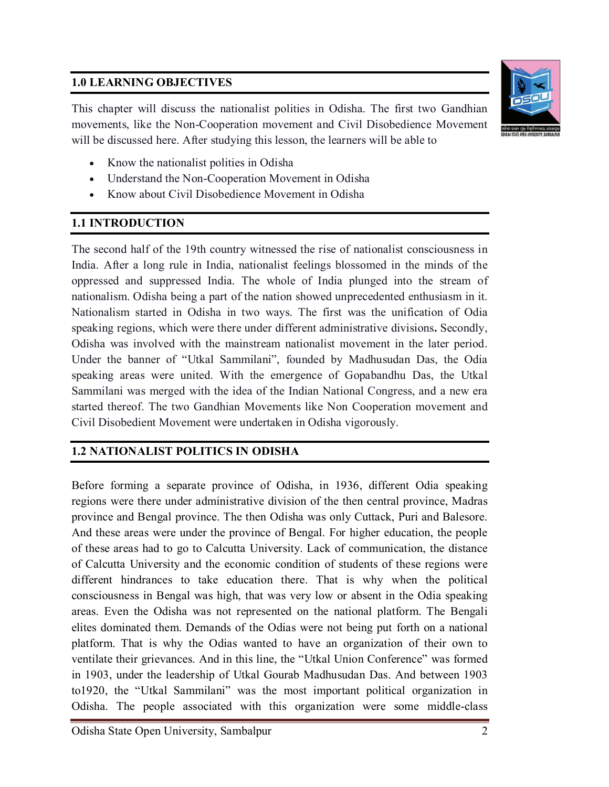# **1.0 LEARNING OBJECTIVES**

This chapter will discuss the nationalist polities in Odisha. The first two Gandhian movements, like the Non-Cooperation movement and Civil Disobedience Movement will be discussed here. After studying this lesson, the learners will be able to



- Know the nationalist polities in Odisha
- Understand the Non-Cooperation Movement in Odisha
- Know about Civil Disobedience Movement in Odisha

# **1.1 INTRODUCTION**

The second half of the 19th country witnessed the rise of nationalist consciousness in India. After a long rule in India, nationalist feelings blossomed in the minds of the oppressed and suppressed India. The whole of India plunged into the stream of nationalism. Odisha being a part of the nation showed unprecedented enthusiasm in it. Nationalism started in Odisha in two ways. The first was the unification of Odia speaking regions, which were there under different administrative divisions**.** Secondly, Odisha was involved with the mainstream nationalist movement in the later period. Under the banner of "Utkal Sammilani", founded by Madhusudan Das, the Odia speaking areas were united. With the emergence of Gopabandhu Das, the Utkal Sammilani was merged with the idea of the Indian National Congress, and a new era started thereof. The two Gandhian Movements like Non Cooperation movement and Civil Disobedient Movement were undertaken in Odisha vigorously.

# **1.2 NATIONALIST POLITICS IN ODISHA**

Before forming a separate province of Odisha, in 1936, different Odia speaking regions were there under administrative division of the then central province, Madras province and Bengal province. The then Odisha was only Cuttack, Puri and Balesore. And these areas were under the province of Bengal. For higher education, the people of these areas had to go to Calcutta University. Lack of communication, the distance of Calcutta University and the economic condition of students of these regions were different hindrances to take education there. That is why when the political consciousness in Bengal was high, that was very low or absent in the Odia speaking areas. Even the Odisha was not represented on the national platform. The Bengali elites dominated them. Demands of the Odias were not being put forth on a national platform. That is why the Odias wanted to have an organization of their own to ventilate their grievances. And in this line, the "Utkal Union Conference" was formed in 1903, under the leadership of Utkal Gourab Madhusudan Das. And between 1903 to1920, the "Utkal Sammilani" was the most important political organization in Odisha. The people associated with this organization were some middle-class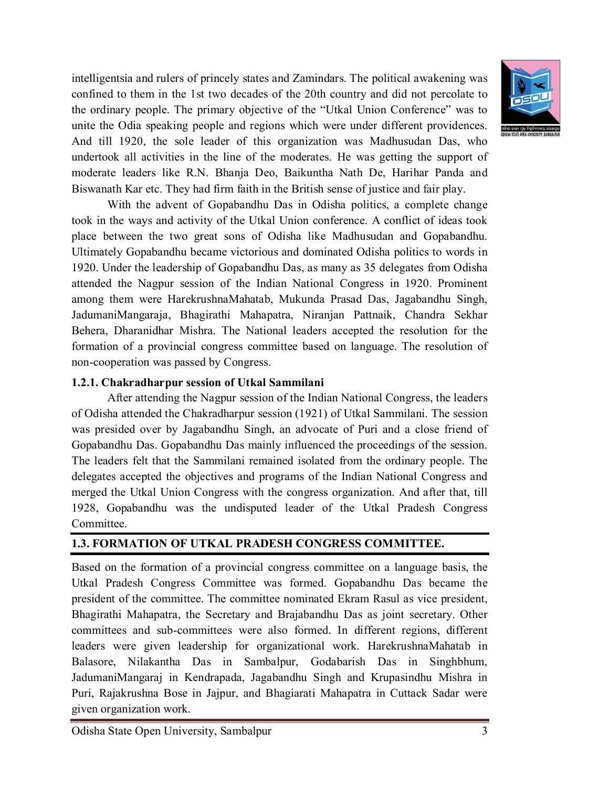intelligentsia and rulers of princely states and Zamindars. The political awakening was confined to them in the 1st two decades of the 20th country and did not percolate to the ordinary people. The primary objective of the "Utkal Union Conference" was to unite the Odia speaking people and regions which were under different providences. And till 1920, the sole leader of this organization was Madhusudan Das, who undertook all activities in the line of the moderates. He was getting the support of moderate leaders like R.N. Bhanja Deo, Baikuntha Nath De, Harihar Panda and Biswanath Kar etc. They had firm faith in the British sense of justice and fair play.

With the advent of Gopabandhu Das in Odisha politics, a complete change took in the ways and activity of the Utkal Union conference. A conflict of ideas took place between the two great sons of Odisha like Madhusudan and Gopabandhu. Ultimately Gopabandhu became victorious and dominated Odisha politics to words in 1920. Under the leadership of Gopabandhu Das, as many as 35 delegates from Odisha attended the Nagpur session of the Indian National Congress in 1920. Prominent among them were HarekrushnaMahatab, Mukunda Prasad Das, Jagabandhu Singh, JadumaniMangaraja, Bhagirathi Mahapatra, Niranjan Pattnaik, Chandra Sekhar Behera, Dharanidhar Mishra. The National leaders accepted the resolution for the formation of a provincial congress committee based on language. The resolution of non-cooperation was passed by Congress.

#### **1.2.1. Chakradharpur session of Utkal Sammilani**

After attending the Nagpur session of the Indian National Congress, the leaders of Odisha attended the Chakradharpur session (1921) of Utkal Sammilani. The session was presided over by Jagabandhu Singh, an advocate of Puri and a close friend of Gopabandhu Das. Gopabandhu Das mainly influenced the proceedings of the session. The leaders felt that the Sammilani remained isolated from the ordinary people. The delegates accepted the objectives and programs of the Indian National Congress and merged the Utkal Union Congress with the congress organization. And after that, till 1928, Gopabandhu was the undisputed leader of the Utkal Pradesh Congress Committee.

# **1.3. FORMATION OF UTKAL PRADESH CONGRESS COMMITTEE.**

Based on the formation of a provincial congress committee on a language basis, the Utkal Pradesh Congress Committee was formed. Gopabandhu Das became the president of the committee. The committee nominated Ekram Rasul as vice president, Bhagirathi Mahapatra, the Secretary and Brajabandhu Das as joint secretary. Other committees and sub-committees were also formed. In different regions, different leaders were given leadership for organizational work. HarekrushnaMahatab in Balasore, Nilakantha Das in Sambalpur, Godabarish Das in Singhbhum, JadumaniMangaraj in Kendrapada, Jagabandhu Singh and Krupasindhu Mishra in Puri, Rajakrushna Bose in Jajpur, and Bhagiarati Mahapatra in Cuttack Sadar were given organization work.



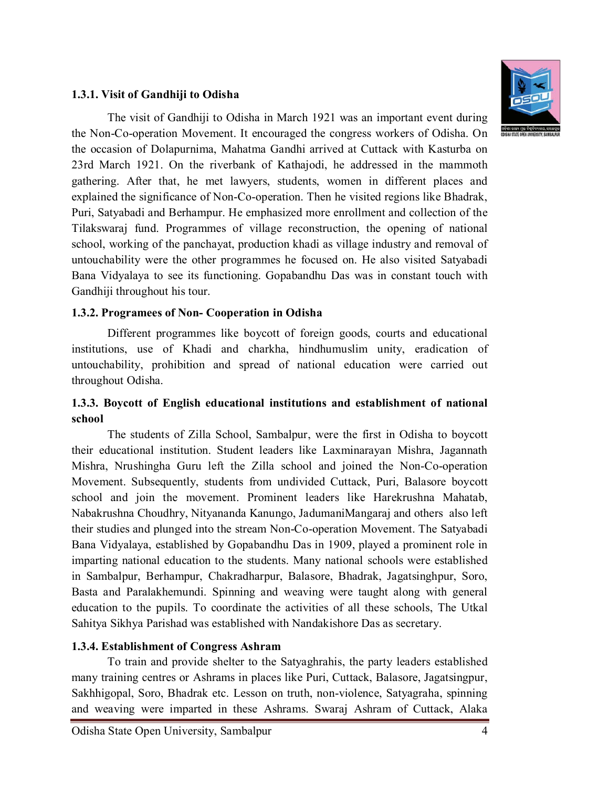#### **1.3.1. Visit of Gandhiji to Odisha**

The visit of Gandhiji to Odisha in March 1921 was an important event during the Non-Co-operation Movement. It encouraged the congress workers of Odisha. On the occasion of Dolapurnima, Mahatma Gandhi arrived at Cuttack with Kasturba on 23rd March 1921. On the riverbank of Kathajodi, he addressed in the mammoth gathering. After that, he met lawyers, students, women in different places and explained the significance of Non-Co-operation. Then he visited regions like Bhadrak, Puri, Satyabadi and Berhampur. He emphasized more enrollment and collection of the Tilakswaraj fund. Programmes of village reconstruction, the opening of national school, working of the panchayat, production khadi as village industry and removal of untouchability were the other programmes he focused on. He also visited Satyabadi Bana Vidyalaya to see its functioning. Gopabandhu Das was in constant touch with Gandhiji throughout his tour.

#### **1.3.2. Programees of Non- Cooperation in Odisha**

Different programmes like boycott of foreign goods, courts and educational institutions, use of Khadi and charkha, hindhumuslim unity, eradication of untouchability, prohibition and spread of national education were carried out throughout Odisha.

#### **1.3.3. Boycott of English educational institutions and establishment of national school**

The students of Zilla School, Sambalpur, were the first in Odisha to boycott their educational institution. Student leaders like Laxminarayan Mishra, Jagannath Mishra, Nrushingha Guru left the Zilla school and joined the Non-Co-operation Movement. Subsequently, students from undivided Cuttack, Puri, Balasore boycott school and join the movement. Prominent leaders like Harekrushna Mahatab, Nabakrushna Choudhry, Nityananda Kanungo, JadumaniMangaraj and others also left their studies and plunged into the stream Non-Co-operation Movement. The Satyabadi Bana Vidyalaya, established by Gopabandhu Das in 1909, played a prominent role in imparting national education to the students. Many national schools were established in Sambalpur, Berhampur, Chakradharpur, Balasore, Bhadrak, Jagatsinghpur, Soro, Basta and Paralakhemundi. Spinning and weaving were taught along with general education to the pupils. To coordinate the activities of all these schools, The Utkal Sahitya Sikhya Parishad was established with Nandakishore Das as secretary.

#### **1.3.4. Establishment of Congress Ashram**

To train and provide shelter to the Satyaghrahis, the party leaders established many training centres or Ashrams in places like Puri, Cuttack, Balasore, Jagatsingpur, Sakhhigopal, Soro, Bhadrak etc. Lesson on truth, non-violence, Satyagraha, spinning and weaving were imparted in these Ashrams. Swaraj Ashram of Cuttack, Alaka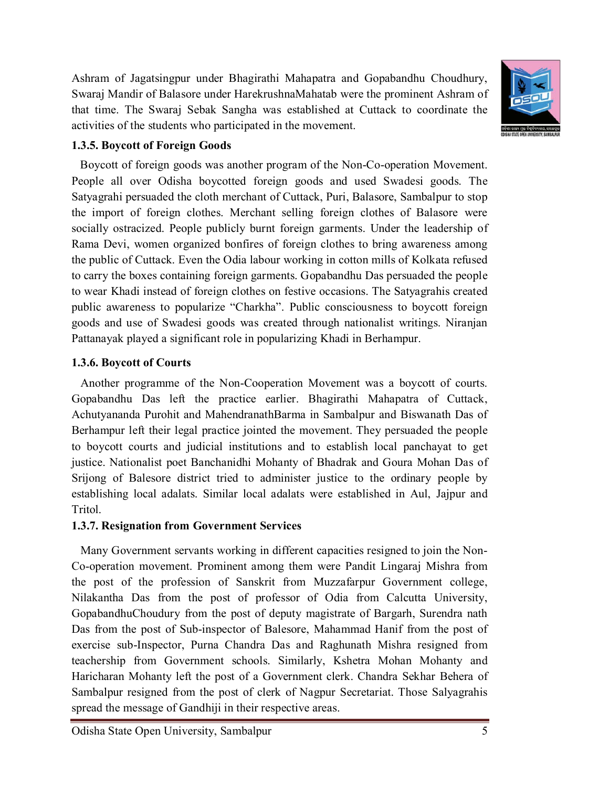Ashram of Jagatsingpur under Bhagirathi Mahapatra and Gopabandhu Choudhury, Swaraj Mandir of Balasore under HarekrushnaMahatab were the prominent Ashram of that time. The Swaraj Sebak Sangha was established at Cuttack to coordinate the activities of the students who participated in the movement.



## **1.3.5. Boycott of Foreign Goods**

 Boycott of foreign goods was another program of the Non-Co-operation Movement. People all over Odisha boycotted foreign goods and used Swadesi goods. The Satyagrahi persuaded the cloth merchant of Cuttack, Puri, Balasore, Sambalpur to stop the import of foreign clothes. Merchant selling foreign clothes of Balasore were socially ostracized. People publicly burnt foreign garments. Under the leadership of Rama Devi, women organized bonfires of foreign clothes to bring awareness among the public of Cuttack. Even the Odia labour working in cotton mills of Kolkata refused to carry the boxes containing foreign garments. Gopabandhu Das persuaded the people to wear Khadi instead of foreign clothes on festive occasions. The Satyagrahis created public awareness to popularize "Charkha". Public consciousness to boycott foreign goods and use of Swadesi goods was created through nationalist writings. Niranjan Pattanayak played a significant role in popularizing Khadi in Berhampur.

#### **1.3.6. Boycott of Courts**

 Another programme of the Non-Cooperation Movement was a boycott of courts. Gopabandhu Das left the practice earlier. Bhagirathi Mahapatra of Cuttack, Achutyananda Purohit and MahendranathBarma in Sambalpur and Biswanath Das of Berhampur left their legal practice jointed the movement. They persuaded the people to boycott courts and judicial institutions and to establish local panchayat to get justice. Nationalist poet Banchanidhi Mohanty of Bhadrak and Goura Mohan Das of Srijong of Balesore district tried to administer justice to the ordinary people by establishing local adalats. Similar local adalats were established in Aul, Jajpur and Tritol.

#### **1.3.7. Resignation from Government Services**

Many Government servants working in different capacities resigned to join the Non-Co-operation movement. Prominent among them were Pandit Lingaraj Mishra from the post of the profession of Sanskrit from Muzzafarpur Government college, Nilakantha Das from the post of professor of Odia from Calcutta University, GopabandhuChoudury from the post of deputy magistrate of Bargarh, Surendra nath Das from the post of Sub-inspector of Balesore, Mahammad Hanif from the post of exercise sub-Inspector, Purna Chandra Das and Raghunath Mishra resigned from teachership from Government schools. Similarly, Kshetra Mohan Mohanty and Haricharan Mohanty left the post of a Government clerk. Chandra Sekhar Behera of Sambalpur resigned from the post of clerk of Nagpur Secretariat. Those Salyagrahis spread the message of Gandhiji in their respective areas.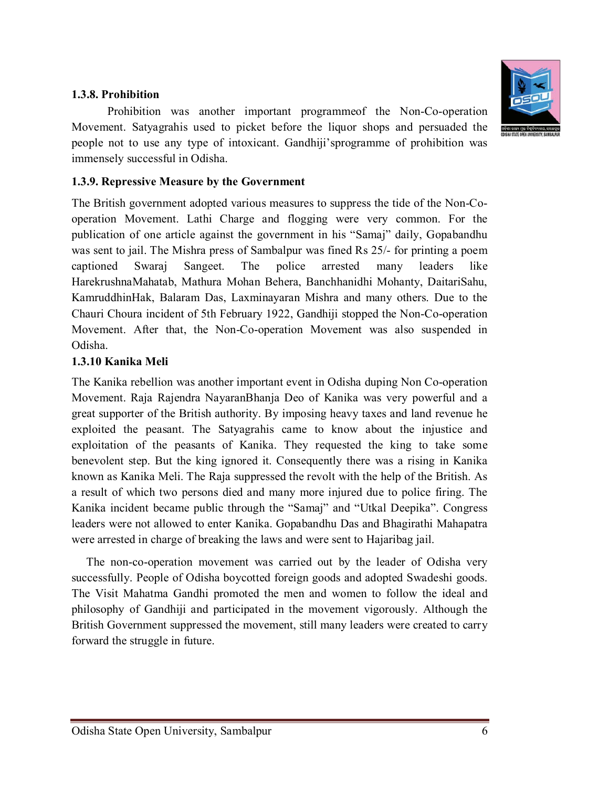

#### **1.3.8. Prohibition**

Prohibition was another important programmeof the Non-Co-operation Movement. Satyagrahis used to picket before the liquor shops and persuaded the people not to use any type of intoxicant. Gandhiji'sprogramme of prohibition was immensely successful in Odisha.

#### **1.3.9. Repressive Measure by the Government**

The British government adopted various measures to suppress the tide of the Non-Cooperation Movement. Lathi Charge and flogging were very common. For the publication of one article against the government in his "Samaj" daily, Gopabandhu was sent to jail. The Mishra press of Sambalpur was fined Rs 25/- for printing a poem captioned Swaraj Sangeet. The police arrested many leaders like HarekrushnaMahatab, Mathura Mohan Behera, Banchhanidhi Mohanty, DaitariSahu, KamruddhinHak, Balaram Das, Laxminayaran Mishra and many others. Due to the Chauri Choura incident of 5th February 1922, Gandhiji stopped the Non-Co-operation Movement. After that, the Non-Co-operation Movement was also suspended in Odisha.

#### **1.3.10 Kanika Meli**

The Kanika rebellion was another important event in Odisha duping Non Co-operation Movement. Raja Rajendra NayaranBhanja Deo of Kanika was very powerful and a great supporter of the British authority. By imposing heavy taxes and land revenue he exploited the peasant. The Satyagrahis came to know about the injustice and exploitation of the peasants of Kanika. They requested the king to take some benevolent step. But the king ignored it. Consequently there was a rising in Kanika known as Kanika Meli. The Raja suppressed the revolt with the help of the British. As a result of which two persons died and many more injured due to police firing. The Kanika incident became public through the "Samaj" and "Utkal Deepika". Congress leaders were not allowed to enter Kanika. Gopabandhu Das and Bhagirathi Mahapatra were arrested in charge of breaking the laws and were sent to Hajaribag jail.

 The non-co-operation movement was carried out by the leader of Odisha very successfully. People of Odisha boycotted foreign goods and adopted Swadeshi goods. The Visit Mahatma Gandhi promoted the men and women to follow the ideal and philosophy of Gandhiji and participated in the movement vigorously. Although the British Government suppressed the movement, still many leaders were created to carry forward the struggle in future.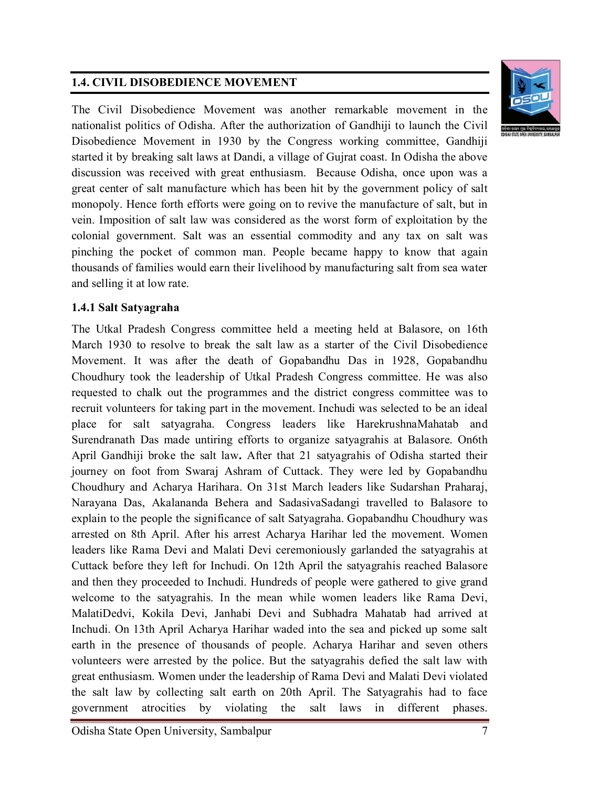# **1.4. CIVIL DISOBEDIENCE MOVEMENT**

The Civil Disobedience Movement was another remarkable movement in the nationalist politics of Odisha. After the authorization of Gandhiji to launch the Civil Disobedience Movement in 1930 by the Congress working committee, Gandhiji started it by breaking salt laws at Dandi, a village of Gujrat coast. In Odisha the above discussion was received with great enthusiasm. Because Odisha, once upon was a great center of salt manufacture which has been hit by the government policy of salt monopoly. Hence forth efforts were going on to revive the manufacture of salt, but in vein. Imposition of salt law was considered as the worst form of exploitation by the colonial government. Salt was an essential commodity and any tax on salt was pinching the pocket of common man. People became happy to know that again thousands of families would earn their livelihood by manufacturing salt from sea water and selling it at low rate.

#### **1.4.1 Salt Satyagraha**

The Utkal Pradesh Congress committee held a meeting held at Balasore, on 16th March 1930 to resolve to break the salt law as a starter of the Civil Disobedience Movement. It was after the death of Gopabandhu Das in 1928, Gopabandhu Choudhury took the leadership of Utkal Pradesh Congress committee. He was also requested to chalk out the programmes and the district congress committee was to recruit volunteers for taking part in the movement. Inchudi was selected to be an ideal place for salt satyagraha. Congress leaders like HarekrushnaMahatab and Surendranath Das made untiring efforts to organize satyagrahis at Balasore. On6th April Gandhiji broke the salt law**.** After that 21 satyagrahis of Odisha started their journey on foot from Swaraj Ashram of Cuttack. They were led by Gopabandhu Choudhury and Acharya Harihara. On 31st March leaders like Sudarshan Praharaj, Narayana Das, Akalananda Behera and SadasivaSadangi travelled to Balasore to explain to the people the significance of salt Satyagraha. Gopabandhu Choudhury was arrested on 8th April. After his arrest Acharya Harihar led the movement. Women leaders like Rama Devi and Malati Devi ceremoniously garlanded the satyagrahis at Cuttack before they left for Inchudi. On 12th April the satyagrahis reached Balasore and then they proceeded to Inchudi. Hundreds of people were gathered to give grand welcome to the satyagrahis. In the mean while women leaders like Rama Devi, MalatiDedvi, Kokila Devi, Janhabi Devi and Subhadra Mahatab had arrived at Inchudi. On 13th April Acharya Harihar waded into the sea and picked up some salt earth in the presence of thousands of people. Acharya Harihar and seven others volunteers were arrested by the police. But the satyagrahis defied the salt law with great enthusiasm. Women under the leadership of Rama Devi and Malati Devi violated the salt law by collecting salt earth on 20th April. The Satyagrahis had to face government atrocities by violating the salt laws in different phases.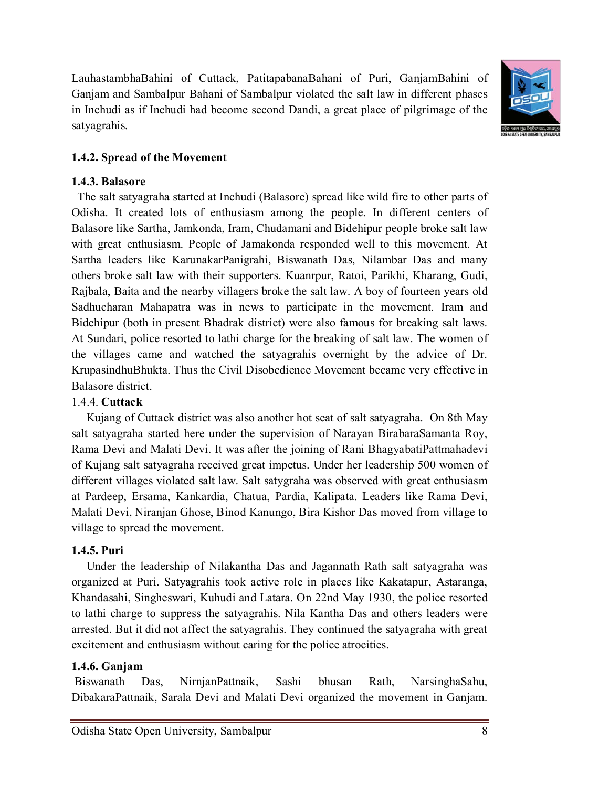LauhastambhaBahini of Cuttack, PatitapabanaBahani of Puri, GanjamBahini of Ganjam and Sambalpur Bahani of Sambalpur violated the salt law in different phases in Inchudi as if Inchudi had become second Dandi, a great place of pilgrimage of the satyagrahis.



## **1.4.2. Spread of the Movement**

#### **1.4.3. Balasore**

 The salt satyagraha started at Inchudi (Balasore) spread like wild fire to other parts of Odisha. It created lots of enthusiasm among the people. In different centers of Balasore like Sartha, Jamkonda, Iram, Chudamani and Bidehipur people broke salt law with great enthusiasm. People of Jamakonda responded well to this movement. At Sartha leaders like KarunakarPanigrahi, Biswanath Das, Nilambar Das and many others broke salt law with their supporters. Kuanrpur, Ratoi, Parikhi, Kharang, Gudi, Rajbala, Baita and the nearby villagers broke the salt law. A boy of fourteen years old Sadhucharan Mahapatra was in news to participate in the movement. Iram and Bidehipur (both in present Bhadrak district) were also famous for breaking salt laws. At Sundari, police resorted to lathi charge for the breaking of salt law. The women of the villages came and watched the satyagrahis overnight by the advice of Dr. KrupasindhuBhukta. Thus the Civil Disobedience Movement became very effective in Balasore district.

#### 1.4.4. **Cuttack**

 Kujang of Cuttack district was also another hot seat of salt satyagraha. On 8th May salt satyagraha started here under the supervision of Narayan BirabaraSamanta Roy, Rama Devi and Malati Devi. It was after the joining of Rani BhagyabatiPattmahadevi of Kujang salt satyagraha received great impetus. Under her leadership 500 women of different villages violated salt law. Salt satygraha was observed with great enthusiasm at Pardeep, Ersama, Kankardia, Chatua, Pardia, Kalipata. Leaders like Rama Devi, Malati Devi, Niranjan Ghose, Binod Kanungo, Bira Kishor Das moved from village to village to spread the movement.

#### **1.4.5. Puri**

 Under the leadership of Nilakantha Das and Jagannath Rath salt satyagraha was organized at Puri. Satyagrahis took active role in places like Kakatapur, Astaranga, Khandasahi, Singheswari, Kuhudi and Latara. On 22nd May 1930, the police resorted to lathi charge to suppress the satyagrahis. Nila Kantha Das and others leaders were arrested. But it did not affect the satyagrahis. They continued the satyagraha with great excitement and enthusiasm without caring for the police atrocities.

#### **1.4.6. Ganjam**

Biswanath Das, NirnjanPattnaik, Sashi bhusan Rath, NarsinghaSahu, DibakaraPattnaik, Sarala Devi and Malati Devi organized the movement in Ganjam.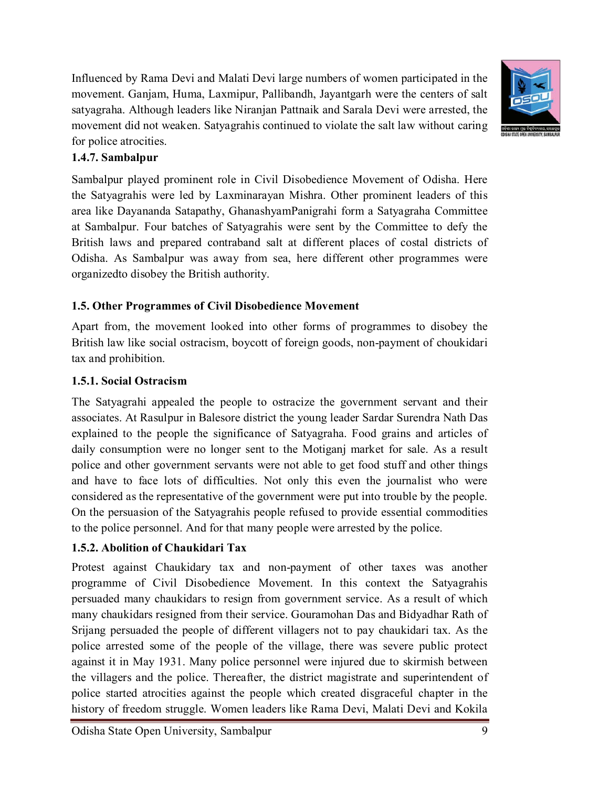Influenced by Rama Devi and Malati Devi large numbers of women participated in the movement. Ganjam, Huma, Laxmipur, Pallibandh, Jayantgarh were the centers of salt satyagraha. Although leaders like Niranjan Pattnaik and Sarala Devi were arrested, the movement did not weaken. Satyagrahis continued to violate the salt law without caring for police atrocities.



# **1.4.7. Sambalpur**

Sambalpur played prominent role in Civil Disobedience Movement of Odisha. Here the Satyagrahis were led by Laxminarayan Mishra. Other prominent leaders of this area like Dayananda Satapathy, GhanashyamPanigrahi form a Satyagraha Committee at Sambalpur. Four batches of Satyagrahis were sent by the Committee to defy the British laws and prepared contraband salt at different places of costal districts of Odisha. As Sambalpur was away from sea, here different other programmes were organizedto disobey the British authority.

#### **1.5. Other Programmes of Civil Disobedience Movement**

Apart from, the movement looked into other forms of programmes to disobey the British law like social ostracism, boycott of foreign goods, non-payment of choukidari tax and prohibition.

#### **1.5.1. Social Ostracism**

The Satyagrahi appealed the people to ostracize the government servant and their associates. At Rasulpur in Balesore district the young leader Sardar Surendra Nath Das explained to the people the significance of Satyagraha. Food grains and articles of daily consumption were no longer sent to the Motiganj market for sale. As a result police and other government servants were not able to get food stuff and other things and have to face lots of difficulties. Not only this even the journalist who were considered as the representative of the government were put into trouble by the people. On the persuasion of the Satyagrahis people refused to provide essential commodities to the police personnel. And for that many people were arrested by the police.

#### **1.5.2. Abolition of Chaukidari Tax**

Protest against Chaukidary tax and non-payment of other taxes was another programme of Civil Disobedience Movement. In this context the Satyagrahis persuaded many chaukidars to resign from government service. As a result of which many chaukidars resigned from their service. Gouramohan Das and Bidyadhar Rath of Srijang persuaded the people of different villagers not to pay chaukidari tax. As the police arrested some of the people of the village, there was severe public protect against it in May 1931. Many police personnel were injured due to skirmish between the villagers and the police. Thereafter, the district magistrate and superintendent of police started atrocities against the people which created disgraceful chapter in the history of freedom struggle. Women leaders like Rama Devi, Malati Devi and Kokila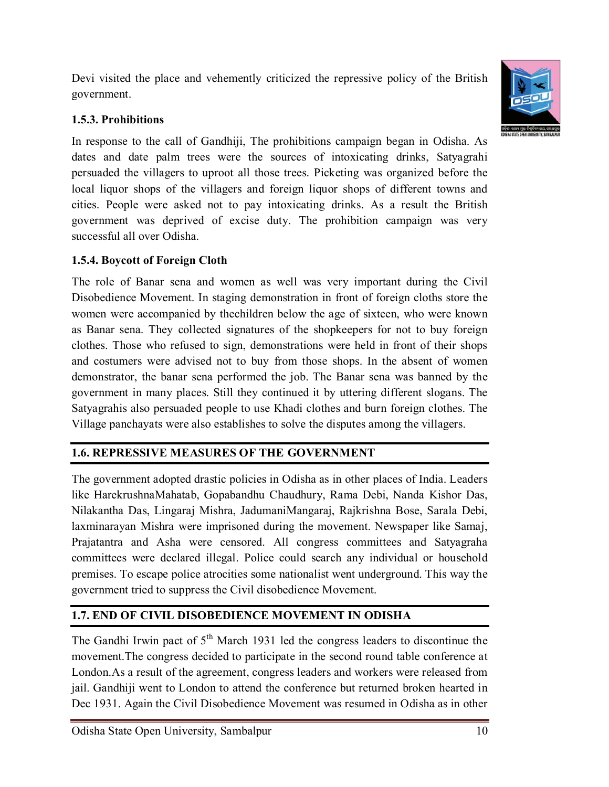Devi visited the place and vehemently criticized the repressive policy of the British government.

# **1.5.3. Prohibitions**

In response to the call of Gandhiji, The prohibitions campaign began in Odisha. As dates and date palm trees were the sources of intoxicating drinks, Satyagrahi persuaded the villagers to uproot all those trees. Picketing was organized before the local liquor shops of the villagers and foreign liquor shops of different towns and cities. People were asked not to pay intoxicating drinks. As a result the British government was deprived of excise duty. The prohibition campaign was very successful all over Odisha.

# **1.5.4. Boycott of Foreign Cloth**

The role of Banar sena and women as well was very important during the Civil Disobedience Movement. In staging demonstration in front of foreign cloths store the women were accompanied by thechildren below the age of sixteen, who were known as Banar sena. They collected signatures of the shopkeepers for not to buy foreign clothes. Those who refused to sign, demonstrations were held in front of their shops and costumers were advised not to buy from those shops. In the absent of women demonstrator, the banar sena performed the job. The Banar sena was banned by the government in many places. Still they continued it by uttering different slogans. The Satyagrahis also persuaded people to use Khadi clothes and burn foreign clothes. The Village panchayats were also establishes to solve the disputes among the villagers.

# **1.6. REPRESSIVE MEASURES OF THE GOVERNMENT**

The government adopted drastic policies in Odisha as in other places of India. Leaders like HarekrushnaMahatab, Gopabandhu Chaudhury, Rama Debi, Nanda Kishor Das, Nilakantha Das, Lingaraj Mishra, JadumaniMangaraj, Rajkrishna Bose, Sarala Debi, laxminarayan Mishra were imprisoned during the movement. Newspaper like Samaj, Prajatantra and Asha were censored. All congress committees and Satyagraha committees were declared illegal. Police could search any individual or household premises. To escape police atrocities some nationalist went underground. This way the government tried to suppress the Civil disobedience Movement.

# **1.7. END OF CIVIL DISOBEDIENCE MOVEMENT IN ODISHA**

The Gandhi Irwin pact of  $5<sup>th</sup>$  March 1931 led the congress leaders to discontinue the movement.The congress decided to participate in the second round table conference at London.As a result of the agreement, congress leaders and workers were released from jail. Gandhiji went to London to attend the conference but returned broken hearted in Dec 1931. Again the Civil Disobedience Movement was resumed in Odisha as in other



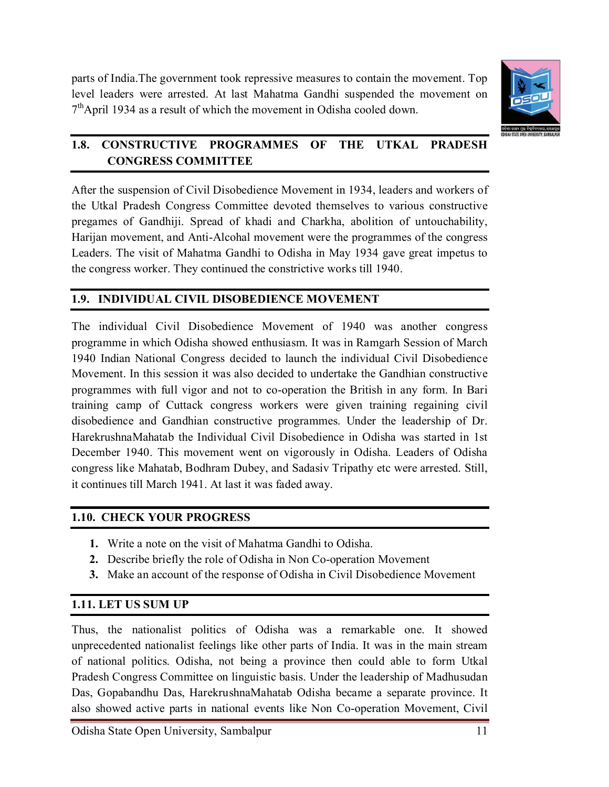parts of India.The government took repressive measures to contain the movement. Top level leaders were arrested. At last Mahatma Gandhi suspended the movement on  $7<sup>th</sup>$ April 1934 as a result of which the movement in Odisha cooled down.



# **1.8. CONSTRUCTIVE PROGRAMMES OF THE UTKAL PRADESH CONGRESS COMMITTEE**

After the suspension of Civil Disobedience Movement in 1934, leaders and workers of the Utkal Pradesh Congress Committee devoted themselves to various constructive pregames of Gandhiji. Spread of khadi and Charkha, abolition of untouchability, Harijan movement, and Anti-Alcohal movement were the programmes of the congress Leaders. The visit of Mahatma Gandhi to Odisha in May 1934 gave great impetus to the congress worker. They continued the constrictive works till 1940.

# **1.9. INDIVIDUAL CIVIL DISOBEDIENCE MOVEMENT**

The individual Civil Disobedience Movement of 1940 was another congress programme in which Odisha showed enthusiasm. It was in Ramgarh Session of March 1940 Indian National Congress decided to launch the individual Civil Disobedience Movement. In this session it was also decided to undertake the Gandhian constructive programmes with full vigor and not to co-operation the British in any form. In Bari training camp of Cuttack congress workers were given training regaining civil disobedience and Gandhian constructive programmes. Under the leadership of Dr. HarekrushnaMahatab the Individual Civil Disobedience in Odisha was started in 1st December 1940. This movement went on vigorously in Odisha. Leaders of Odisha congress like Mahatab, Bodhram Dubey, and Sadasiv Tripathy etc were arrested. Still, it continues till March 1941. At last it was faded away.

# **1.10. CHECK YOUR PROGRESS**

- **1.** Write a note on the visit of Mahatma Gandhi to Odisha.
- **2.** Describe briefly the role of Odisha in Non Co-operation Movement
- **3.** Make an account of the response of Odisha in Civil Disobedience Movement

# **1.11. LET US SUM UP**

Thus, the nationalist politics of Odisha was a remarkable one. It showed unprecedented nationalist feelings like other parts of India. It was in the main stream of national politics. Odisha, not being a province then could able to form Utkal Pradesh Congress Committee on linguistic basis. Under the leadership of Madhusudan Das, Gopabandhu Das, HarekrushnaMahatab Odisha became a separate province. It also showed active parts in national events like Non Co-operation Movement, Civil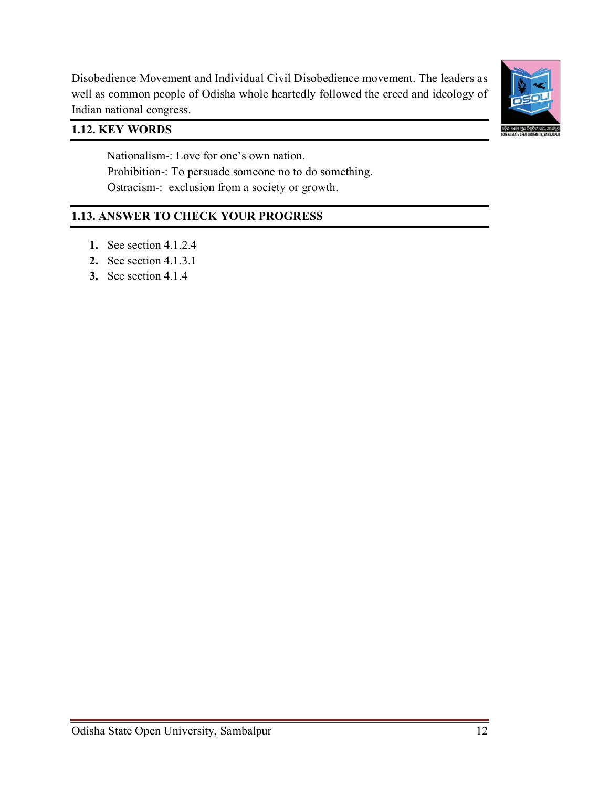

Disobedience Movement and Individual Civil Disobedience movement. The leaders as well as common people of Odisha whole heartedly followed the creed and ideology of Indian national congress.

# **1.12. KEY WORDS**

 Nationalism-: Love for one's own nation. Prohibition-: To persuade someone no to do something. Ostracism-: exclusion from a society or growth.

# **1.13. ANSWER TO CHECK YOUR PROGRESS**

- **1.** See section 4.1.2.4
- **2.** See section 4.1.3.1
- **3.** See section 4.1.4

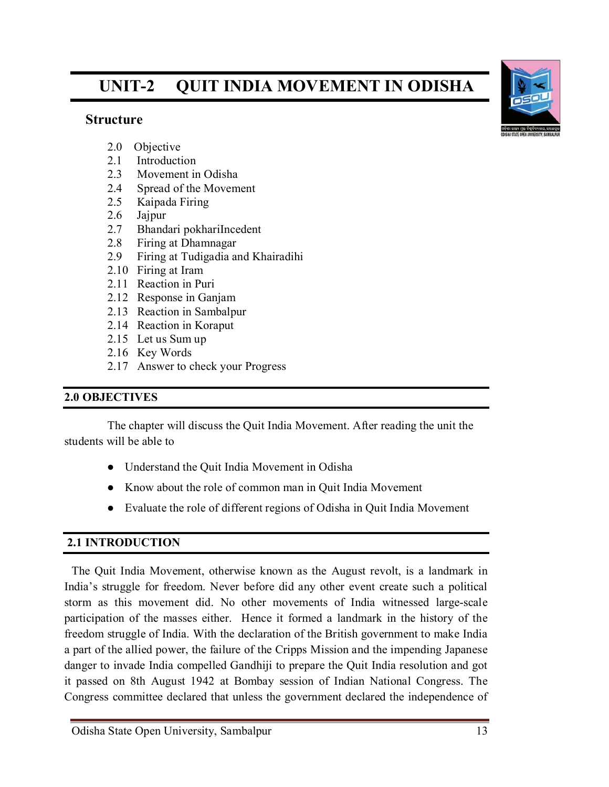# **UNIT-2 QUIT INDIA MOVEMENT IN ODISHA**

#### **Structure**



- 2.0 Objective
- 2.1 Introduction
- 2.3 Movement in Odisha
- 2.4 Spread of the Movement
- 2.5 Kaipada Firing
- 2.6 Jajpur
- 2.7 Bhandari pokhariIncedent
- 2.8 Firing at Dhamnagar
- 2.9 Firing at Tudigadia and Khairadihi
- 2.10 Firing at Iram
- 2.11 Reaction in Puri
- 2.12 Response in Ganjam
- 2.13 Reaction in Sambalpur
- 2.14 Reaction in Koraput
- 2.15 Let us Sum up
- 2.16 Key Words
- 2.17 Answer to check your Progress

#### **2.0 OBJECTIVES**

The chapter will discuss the Quit India Movement. After reading the unit the students will be able to

- Understand the Quit India Movement in Odisha
- Know about the role of common man in Quit India Movement
- Evaluate the role of different regions of Odisha in Quit India Movement

# **2.1 INTRODUCTION**

The Quit India Movement, otherwise known as the August revolt, is a landmark in India's struggle for freedom. Never before did any other event create such a political storm as this movement did. No other movements of India witnessed large-scale participation of the masses either. Hence it formed a landmark in the history of the freedom struggle of India. With the declaration of the British government to make India a part of the allied power, the failure of the Cripps Mission and the impending Japanese danger to invade India compelled Gandhiji to prepare the Quit India resolution and got it passed on 8th August 1942 at Bombay session of Indian National Congress. The Congress committee declared that unless the government declared the independence of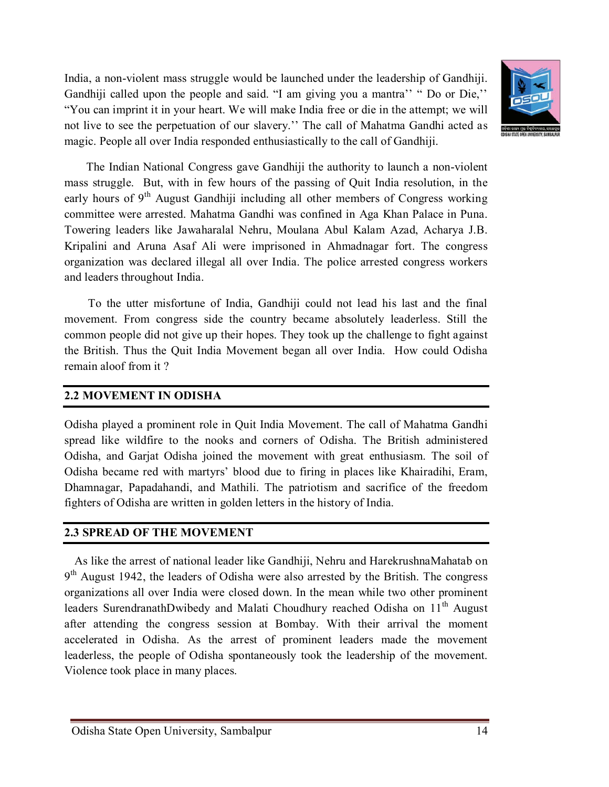India, a non-violent mass struggle would be launched under the leadership of Gandhiji. Gandhiji called upon the people and said. "I am giving you a mantra'' " Do or Die,'' "You can imprint it in your heart. We will make India free or die in the attempt; we will not live to see the perpetuation of our slavery.'' The call of Mahatma Gandhi acted as magic. People all over India responded enthusiastically to the call of Gandhiji.



 The Indian National Congress gave Gandhiji the authority to launch a non-violent mass struggle. But, with in few hours of the passing of Quit India resolution, in the early hours of  $9<sup>th</sup>$  August Gandhiji including all other members of Congress working committee were arrested. Mahatma Gandhi was confined in Aga Khan Palace in Puna. Towering leaders like Jawaharalal Nehru, Moulana Abul Kalam Azad, Acharya J.B. Kripalini and Aruna Asaf Ali were imprisoned in Ahmadnagar fort. The congress organization was declared illegal all over India. The police arrested congress workers and leaders throughout India.

 To the utter misfortune of India, Gandhiji could not lead his last and the final movement. From congress side the country became absolutely leaderless. Still the common people did not give up their hopes. They took up the challenge to fight against the British. Thus the Quit India Movement began all over India. How could Odisha remain aloof from it ?

#### **2.2 MOVEMENT IN ODISHA**

Odisha played a prominent role in Quit India Movement. The call of Mahatma Gandhi spread like wildfire to the nooks and corners of Odisha. The British administered Odisha, and Garjat Odisha joined the movement with great enthusiasm. The soil of Odisha became red with martyrs' blood due to firing in places like Khairadihi, Eram, Dhamnagar, Papadahandi, and Mathili. The patriotism and sacrifice of the freedom fighters of Odisha are written in golden letters in the history of India.

# **2.3 SPREAD OF THE MOVEMENT**

As like the arrest of national leader like Gandhiji, Nehru and HarekrushnaMahatab on  $9<sup>th</sup>$  August 1942, the leaders of Odisha were also arrested by the British. The congress organizations all over India were closed down. In the mean while two other prominent leaders SurendranathDwibedy and Malati Choudhury reached Odisha on 11<sup>th</sup> August after attending the congress session at Bombay. With their arrival the moment accelerated in Odisha. As the arrest of prominent leaders made the movement leaderless, the people of Odisha spontaneously took the leadership of the movement. Violence took place in many places.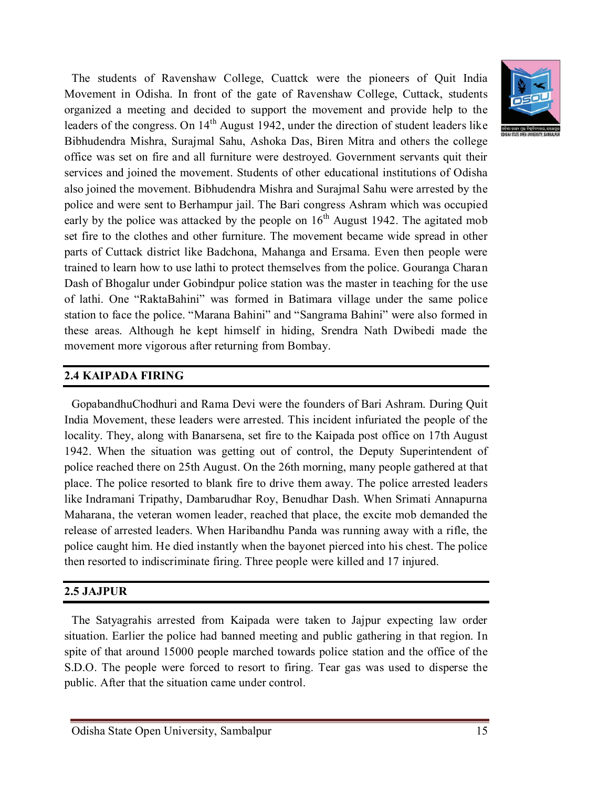

The students of Ravenshaw College, Cuattck were the pioneers of Quit India Movement in Odisha. In front of the gate of Ravenshaw College, Cuttack, students organized a meeting and decided to support the movement and provide help to the leaders of the congress. On  $14<sup>th</sup>$  August 1942, under the direction of student leaders like Bibhudendra Mishra, Surajmal Sahu, Ashoka Das, Biren Mitra and others the college office was set on fire and all furniture were destroyed. Government servants quit their services and joined the movement. Students of other educational institutions of Odisha also joined the movement. Bibhudendra Mishra and Surajmal Sahu were arrested by the police and were sent to Berhampur jail. The Bari congress Ashram which was occupied early by the police was attacked by the people on  $16<sup>th</sup>$  August 1942. The agitated mob set fire to the clothes and other furniture. The movement became wide spread in other parts of Cuttack district like Badchona, Mahanga and Ersama. Even then people were trained to learn how to use lathi to protect themselves from the police. Gouranga Charan Dash of Bhogalur under Gobindpur police station was the master in teaching for the use of lathi. One "RaktaBahini" was formed in Batimara village under the same police station to face the police. "Marana Bahini" and "Sangrama Bahini" were also formed in these areas. Although he kept himself in hiding, Srendra Nath Dwibedi made the movement more vigorous after returning from Bombay.

#### **2.4 KAIPADA FIRING**

GopabandhuChodhuri and Rama Devi were the founders of Bari Ashram. During Quit India Movement, these leaders were arrested. This incident infuriated the people of the locality. They, along with Banarsena, set fire to the Kaipada post office on 17th August 1942. When the situation was getting out of control, the Deputy Superintendent of police reached there on 25th August. On the 26th morning, many people gathered at that place. The police resorted to blank fire to drive them away. The police arrested leaders like Indramani Tripathy, Dambarudhar Roy, Benudhar Dash. When Srimati Annapurna Maharana, the veteran women leader, reached that place, the excite mob demanded the release of arrested leaders. When Haribandhu Panda was running away with a rifle, the police caught him. He died instantly when the bayonet pierced into his chest. The police then resorted to indiscriminate firing. Three people were killed and 17 injured.

#### **2.5 JAJPUR**

The Satyagrahis arrested from Kaipada were taken to Jajpur expecting law order situation. Earlier the police had banned meeting and public gathering in that region. In spite of that around 15000 people marched towards police station and the office of the S.D.O. The people were forced to resort to firing. Tear gas was used to disperse the public. After that the situation came under control.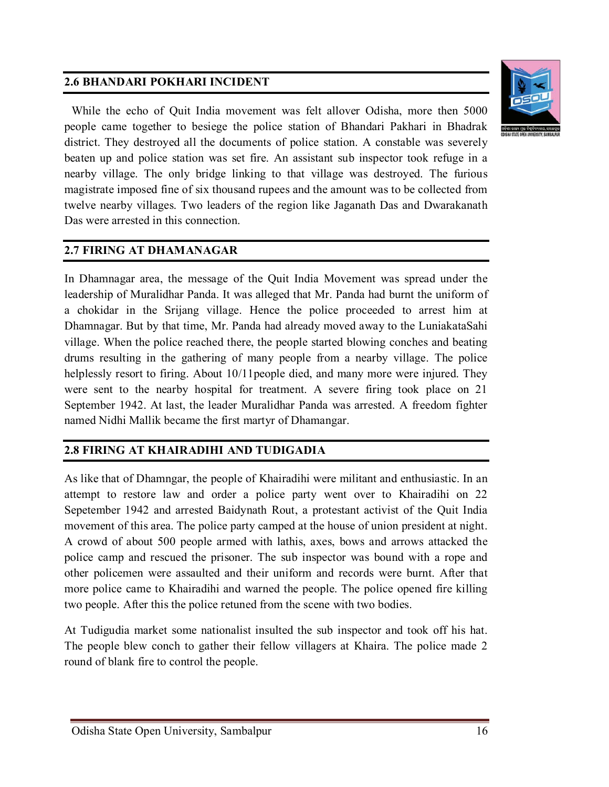# **2.6 BHANDARI POKHARI INCIDENT**



While the echo of Quit India movement was felt allover Odisha, more then 5000 people came together to besiege the police station of Bhandari Pakhari in Bhadrak district. They destroyed all the documents of police station. A constable was severely beaten up and police station was set fire. An assistant sub inspector took refuge in a nearby village. The only bridge linking to that village was destroyed. The furious magistrate imposed fine of six thousand rupees and the amount was to be collected from twelve nearby villages. Two leaders of the region like Jaganath Das and Dwarakanath Das were arrested in this connection.

#### **2.7 FIRING AT DHAMANAGAR**

In Dhamnagar area, the message of the Quit India Movement was spread under the leadership of Muralidhar Panda. It was alleged that Mr. Panda had burnt the uniform of a chokidar in the Srijang village. Hence the police proceeded to arrest him at Dhamnagar. But by that time, Mr. Panda had already moved away to the LuniakataSahi village. When the police reached there, the people started blowing conches and beating drums resulting in the gathering of many people from a nearby village. The police helplessly resort to firing. About 10/11 people died, and many more were injured. They were sent to the nearby hospital for treatment. A severe firing took place on 21 September 1942. At last, the leader Muralidhar Panda was arrested. A freedom fighter named Nidhi Mallik became the first martyr of Dhamangar.

#### **2.8 FIRING AT KHAIRADIHI AND TUDIGADIA**

As like that of Dhamngar, the people of Khairadihi were militant and enthusiastic. In an attempt to restore law and order a police party went over to Khairadihi on 22 Sepetember 1942 and arrested Baidynath Rout, a protestant activist of the Quit India movement of this area. The police party camped at the house of union president at night. A crowd of about 500 people armed with lathis, axes, bows and arrows attacked the police camp and rescued the prisoner. The sub inspector was bound with a rope and other policemen were assaulted and their uniform and records were burnt. After that more police came to Khairadihi and warned the people. The police opened fire killing two people. After this the police retuned from the scene with two bodies.

At Tudigudia market some nationalist insulted the sub inspector and took off his hat. The people blew conch to gather their fellow villagers at Khaira. The police made 2 round of blank fire to control the people.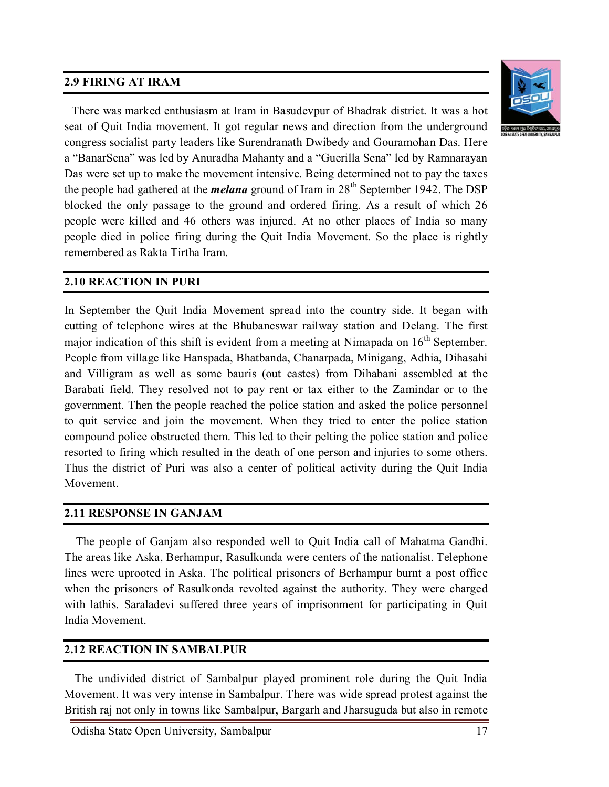# **2.9 FIRING AT IRAM**



There was marked enthusiasm at Iram in Basudevpur of Bhadrak district. It was a hot seat of Quit India movement. It got regular news and direction from the underground congress socialist party leaders like Surendranath Dwibedy and Gouramohan Das. Here a "BanarSena" was led by Anuradha Mahanty and a "Guerilla Sena" led by Ramnarayan Das were set up to make the movement intensive. Being determined not to pay the taxes the people had gathered at the *melana* ground of Iram in 28th September 1942. The DSP blocked the only passage to the ground and ordered firing. As a result of which 26 people were killed and 46 others was injured. At no other places of India so many people died in police firing during the Quit India Movement. So the place is rightly remembered as Rakta Tirtha Iram.

#### **2.10 REACTION IN PURI**

In September the Quit India Movement spread into the country side. It began with cutting of telephone wires at the Bhubaneswar railway station and Delang. The first major indication of this shift is evident from a meeting at Nimapada on  $16<sup>th</sup>$  September. People from village like Hanspada, Bhatbanda, Chanarpada, Minigang, Adhia, Dihasahi and Villigram as well as some bauris (out castes) from Dihabani assembled at the Barabati field. They resolved not to pay rent or tax either to the Zamindar or to the government. Then the people reached the police station and asked the police personnel to quit service and join the movement. When they tried to enter the police station compound police obstructed them. This led to their pelting the police station and police resorted to firing which resulted in the death of one person and injuries to some others. Thus the district of Puri was also a center of political activity during the Quit India Movement.

#### **2.11 RESPONSE IN GANJAM**

 The people of Ganjam also responded well to Quit India call of Mahatma Gandhi. The areas like Aska, Berhampur, Rasulkunda were centers of the nationalist. Telephone lines were uprooted in Aska. The political prisoners of Berhampur burnt a post office when the prisoners of Rasulkonda revolted against the authority. They were charged with lathis. Saraladevi suffered three years of imprisonment for participating in Quit India Movement.

#### **2.12 REACTION IN SAMBALPUR**

The undivided district of Sambalpur played prominent role during the Quit India Movement. It was very intense in Sambalpur. There was wide spread protest against the British raj not only in towns like Sambalpur, Bargarh and Jharsuguda but also in remote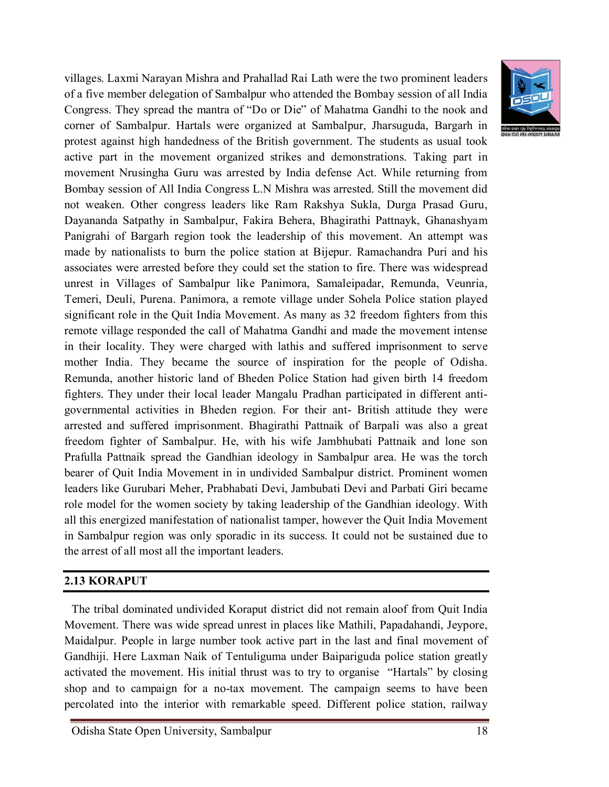villages. Laxmi Narayan Mishra and Prahallad Rai Lath were the two prominent leaders of a five member delegation of Sambalpur who attended the Bombay session of all India Congress. They spread the mantra of "Do or Die" of Mahatma Gandhi to the nook and corner of Sambalpur. Hartals were organized at Sambalpur, Jharsuguda, Bargarh in protest against high handedness of the British government. The students as usual took active part in the movement organized strikes and demonstrations. Taking part in movement Nrusingha Guru was arrested by India defense Act. While returning from Bombay session of All India Congress L.N Mishra was arrested. Still the movement did not weaken. Other congress leaders like Ram Rakshya Sukla, Durga Prasad Guru, Dayananda Satpathy in Sambalpur, Fakira Behera, Bhagirathi Pattnayk, Ghanashyam Panigrahi of Bargarh region took the leadership of this movement. An attempt was made by nationalists to burn the police station at Bijepur. Ramachandra Puri and his associates were arrested before they could set the station to fire. There was widespread unrest in Villages of Sambalpur like Panimora, Samaleipadar, Remunda, Veunria, Temeri, Deuli, Purena. Panimora, a remote village under Sohela Police station played significant role in the Quit India Movement. As many as 32 freedom fighters from this remote village responded the call of Mahatma Gandhi and made the movement intense in their locality. They were charged with lathis and suffered imprisonment to serve mother India. They became the source of inspiration for the people of Odisha. Remunda, another historic land of Bheden Police Station had given birth 14 freedom fighters. They under their local leader Mangalu Pradhan participated in different antigovernmental activities in Bheden region. For their ant- British attitude they were arrested and suffered imprisonment. Bhagirathi Pattnaik of Barpali was also a great freedom fighter of Sambalpur. He, with his wife Jambhubati Pattnaik and lone son Prafulla Pattnaik spread the Gandhian ideology in Sambalpur area. He was the torch bearer of Quit India Movement in in undivided Sambalpur district. Prominent women leaders like Gurubari Meher, Prabhabati Devi, Jambubati Devi and Parbati Giri became role model for the women society by taking leadership of the Gandhian ideology. With all this energized manifestation of nationalist tamper, however the Quit India Movement in Sambalpur region was only sporadic in its success. It could not be sustained due to the arrest of all most all the important leaders.

#### **2.13 KORAPUT**

The tribal dominated undivided Koraput district did not remain aloof from Quit India Movement. There was wide spread unrest in places like Mathili, Papadahandi, Jeypore, Maidalpur. People in large number took active part in the last and final movement of Gandhiji. Here Laxman Naik of Tentuliguma under Baipariguda police station greatly activated the movement. His initial thrust was to try to organise "Hartals" by closing shop and to campaign for a no-tax movement. The campaign seems to have been percolated into the interior with remarkable speed. Different police station, railway

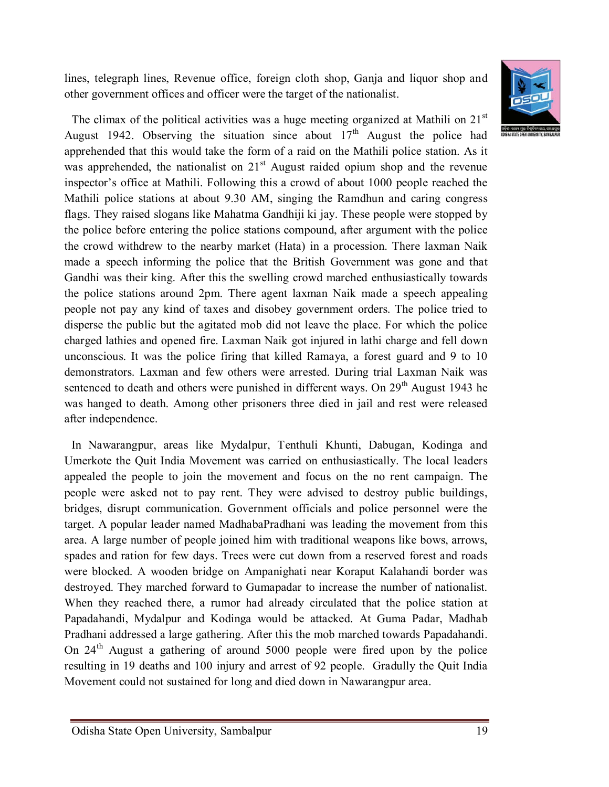lines, telegraph lines, Revenue office, foreign cloth shop, Ganja and liquor shop and other government offices and officer were the target of the nationalist.



The climax of the political activities was a huge meeting organized at Mathili on  $21<sup>st</sup>$ August 1942. Observing the situation since about  $17<sup>th</sup>$  August the police had apprehended that this would take the form of a raid on the Mathili police station. As it was apprehended, the nationalist on  $21<sup>st</sup>$  August raided opium shop and the revenue inspector's office at Mathili. Following this a crowd of about 1000 people reached the Mathili police stations at about 9.30 AM, singing the Ramdhun and caring congress flags. They raised slogans like Mahatma Gandhiji ki jay. These people were stopped by the police before entering the police stations compound, after argument with the police the crowd withdrew to the nearby market (Hata) in a procession. There laxman Naik made a speech informing the police that the British Government was gone and that Gandhi was their king. After this the swelling crowd marched enthusiastically towards the police stations around 2pm. There agent laxman Naik made a speech appealing people not pay any kind of taxes and disobey government orders. The police tried to disperse the public but the agitated mob did not leave the place. For which the police charged lathies and opened fire. Laxman Naik got injured in lathi charge and fell down unconscious. It was the police firing that killed Ramaya, a forest guard and 9 to 10 demonstrators. Laxman and few others were arrested. During trial Laxman Naik was sentenced to death and others were punished in different ways. On 29<sup>th</sup> August 1943 he was hanged to death. Among other prisoners three died in jail and rest were released after independence.

In Nawarangpur, areas like Mydalpur, Tenthuli Khunti, Dabugan, Kodinga and Umerkote the Quit India Movement was carried on enthusiastically. The local leaders appealed the people to join the movement and focus on the no rent campaign. The people were asked not to pay rent. They were advised to destroy public buildings, bridges, disrupt communication. Government officials and police personnel were the target. A popular leader named MadhabaPradhani was leading the movement from this area. A large number of people joined him with traditional weapons like bows, arrows, spades and ration for few days. Trees were cut down from a reserved forest and roads were blocked. A wooden bridge on Ampanighati near Koraput Kalahandi border was destroyed. They marched forward to Gumapadar to increase the number of nationalist. When they reached there, a rumor had already circulated that the police station at Papadahandi, Mydalpur and Kodinga would be attacked. At Guma Padar, Madhab Pradhani addressed a large gathering. After this the mob marched towards Papadahandi. On  $24<sup>th</sup>$  August a gathering of around 5000 people were fired upon by the police resulting in 19 deaths and 100 injury and arrest of 92 people. Gradully the Quit India Movement could not sustained for long and died down in Nawarangpur area.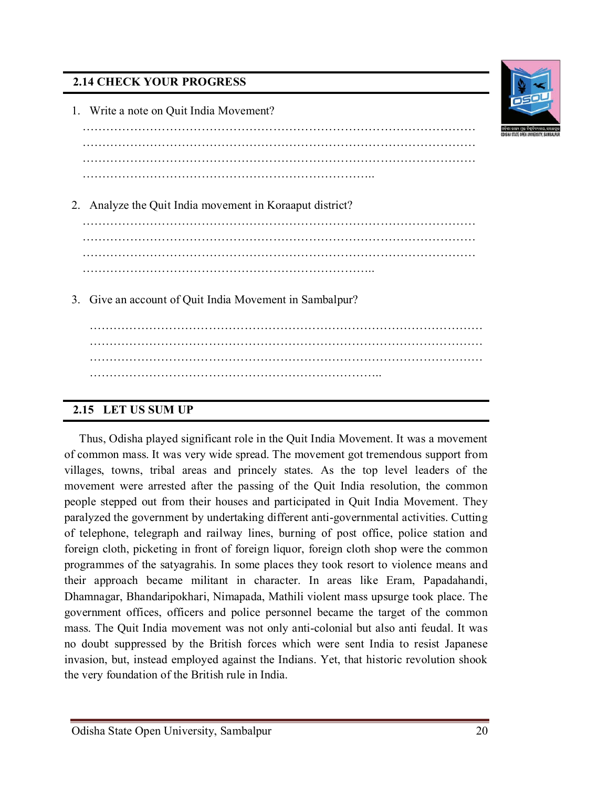# **2.14 CHECK YOUR PROGRESS**

| 1. Write a note on Quit India Movement?                  |
|----------------------------------------------------------|
|                                                          |
|                                                          |
|                                                          |
| 2. Analyze the Quit India movement in Koraaput district? |
|                                                          |
|                                                          |
|                                                          |
| 3. Give an account of Quit India Movement in Sambalpur?  |
|                                                          |
|                                                          |
|                                                          |
|                                                          |

#### **2.15 LET US SUM UP**

 Thus, Odisha played significant role in the Quit India Movement. It was a movement of common mass. It was very wide spread. The movement got tremendous support from villages, towns, tribal areas and princely states. As the top level leaders of the movement were arrested after the passing of the Quit India resolution, the common people stepped out from their houses and participated in Quit India Movement. They paralyzed the government by undertaking different anti-governmental activities. Cutting of telephone, telegraph and railway lines, burning of post office, police station and foreign cloth, picketing in front of foreign liquor, foreign cloth shop were the common programmes of the satyagrahis. In some places they took resort to violence means and their approach became militant in character. In areas like Eram, Papadahandi, Dhamnagar, Bhandaripokhari, Nimapada, Mathili violent mass upsurge took place. The government offices, officers and police personnel became the target of the common mass. The Quit India movement was not only anti-colonial but also anti feudal. It was no doubt suppressed by the British forces which were sent India to resist Japanese invasion, but, instead employed against the Indians. Yet, that historic revolution shook the very foundation of the British rule in India.

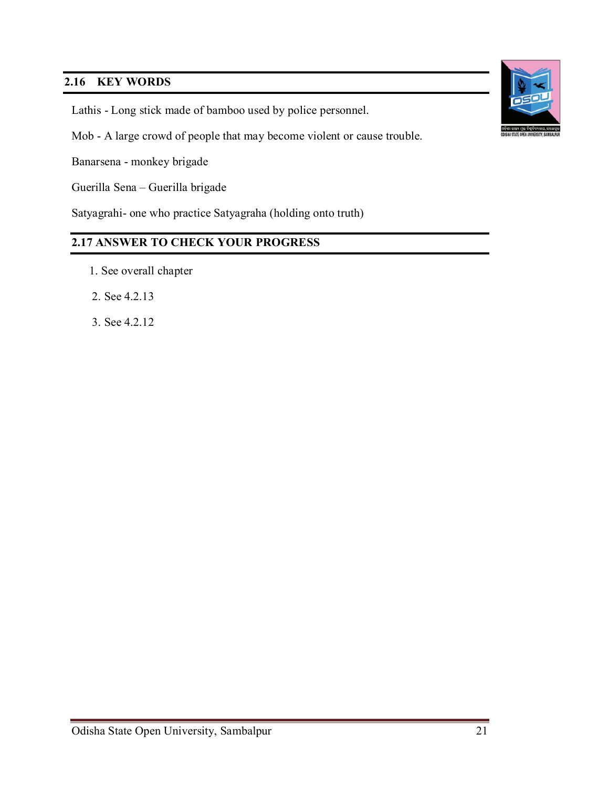# **2.16 KEY WORDS**

Lathis - Long stick made of bamboo used by police personnel.

Mob - A large crowd of people that may become violent or cause trouble.

Banarsena - monkey brigade

Guerilla Sena – Guerilla brigade

Satyagrahi- one who practice Satyagraha (holding onto truth)

# **2.17 ANSWER TO CHECK YOUR PROGRESS**

- 1. See overall chapter
- 2. See 4.2.13
- 3. See 4.2.12

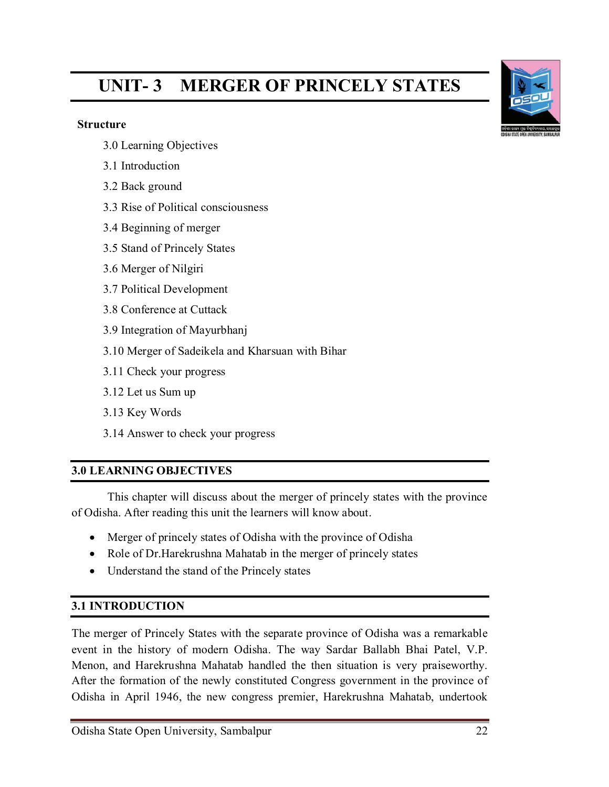# **UNIT- 3 MERGER OF PRINCELY STATES**

#### **Structure**

- 3.0 Learning Objectives
- 3.1 Introduction
- 3.2 Back ground
- 3.3 Rise of Political consciousness
- 3.4 Beginning of merger
- 3.5 Stand of Princely States
- 3.6 Merger of Nilgiri
- 3.7 Political Development
- 3.8 Conference at Cuttack
- 3.9 Integration of Mayurbhanj
- 3.10 Merger of Sadeikela and Kharsuan with Bihar
- 3.11 Check your progress
- 3.12 Let us Sum up
- 3.13 Key Words
- 3.14 Answer to check your progress

# **3.0 LEARNING OBJECTIVES**

This chapter will discuss about the merger of princely states with the province of Odisha. After reading this unit the learners will know about.

- Merger of princely states of Odisha with the province of Odisha
- Role of Dr. Harekrushna Mahatab in the merger of princely states
- Understand the stand of the Princely states

# **3.1 INTRODUCTION**

The merger of Princely States with the separate province of Odisha was a remarkable event in the history of modern Odisha. The way Sardar Ballabh Bhai Patel, V.P. Menon, and Harekrushna Mahatab handled the then situation is very praiseworthy. After the formation of the newly constituted Congress government in the province of Odisha in April 1946, the new congress premier, Harekrushna Mahatab, undertook

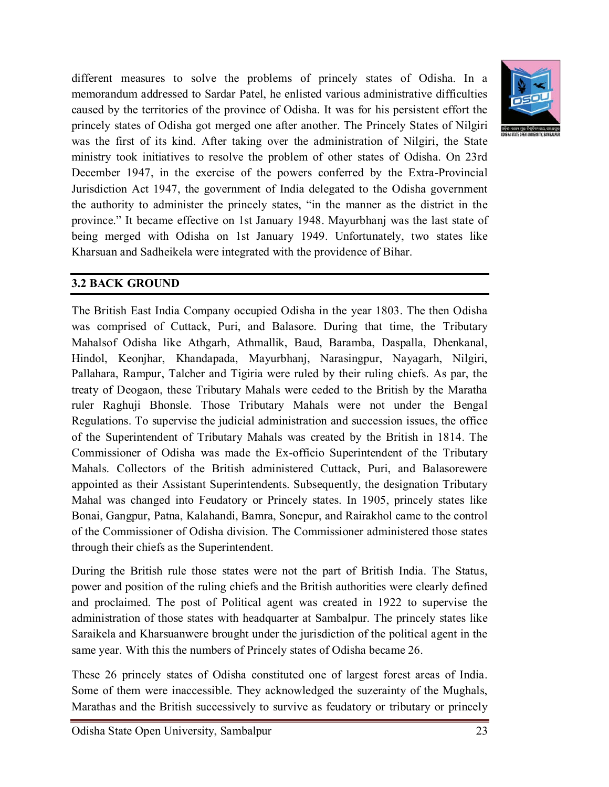

different measures to solve the problems of princely states of Odisha. In a memorandum addressed to Sardar Patel, he enlisted various administrative difficulties caused by the territories of the province of Odisha. It was for his persistent effort the princely states of Odisha got merged one after another. The Princely States of Nilgiri was the first of its kind. After taking over the administration of Nilgiri, the State ministry took initiatives to resolve the problem of other states of Odisha. On 23rd December 1947, in the exercise of the powers conferred by the Extra-Provincial Jurisdiction Act 1947, the government of India delegated to the Odisha government the authority to administer the princely states, "in the manner as the district in the province." It became effective on 1st January 1948. Mayurbhanj was the last state of being merged with Odisha on 1st January 1949. Unfortunately, two states like Kharsuan and Sadheikela were integrated with the providence of Bihar.

#### **3.2 BACK GROUND**

The British East India Company occupied Odisha in the year 1803. The then Odisha was comprised of Cuttack, Puri, and Balasore. During that time, the Tributary Mahalsof Odisha like Athgarh, Athmallik, Baud, Baramba, Daspalla, Dhenkanal, Hindol, Keonjhar, Khandapada, Mayurbhanj, Narasingpur, Nayagarh, Nilgiri, Pallahara, Rampur, Talcher and Tigiria were ruled by their ruling chiefs. As par, the treaty of Deogaon, these Tributary Mahals were ceded to the British by the Maratha ruler Raghuji Bhonsle. Those Tributary Mahals were not under the Bengal Regulations. To supervise the judicial administration and succession issues, the office of the Superintendent of Tributary Mahals was created by the British in 1814. The Commissioner of Odisha was made the Ex-officio Superintendent of the Tributary Mahals. Collectors of the British administered Cuttack, Puri, and Balasorewere appointed as their Assistant Superintendents. Subsequently, the designation Tributary Mahal was changed into Feudatory or Princely states. In 1905, princely states like Bonai, Gangpur, Patna, Kalahandi, Bamra, Sonepur, and Rairakhol came to the control of the Commissioner of Odisha division. The Commissioner administered those states through their chiefs as the Superintendent.

During the British rule those states were not the part of British India. The Status, power and position of the ruling chiefs and the British authorities were clearly defined and proclaimed. The post of Political agent was created in 1922 to supervise the administration of those states with headquarter at Sambalpur. The princely states like Saraikela and Kharsuanwere brought under the jurisdiction of the political agent in the same year. With this the numbers of Princely states of Odisha became 26.

These 26 princely states of Odisha constituted one of largest forest areas of India. Some of them were inaccessible. They acknowledged the suzerainty of the Mughals, Marathas and the British successively to survive as feudatory or tributary or princely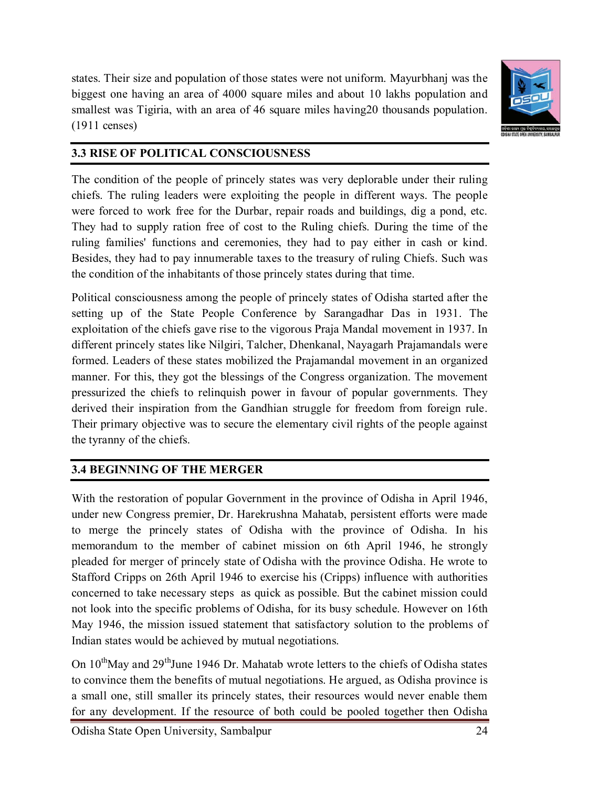states. Their size and population of those states were not uniform. Mayurbhanj was the biggest one having an area of 4000 square miles and about 10 lakhs population and smallest was Tigiria, with an area of 46 square miles having20 thousands population. (1911 censes)



# **3.3 RISE OF POLITICAL CONSCIOUSNESS**

The condition of the people of princely states was very deplorable under their ruling chiefs. The ruling leaders were exploiting the people in different ways. The people were forced to work free for the Durbar, repair roads and buildings, dig a pond, etc. They had to supply ration free of cost to the Ruling chiefs. During the time of the ruling families' functions and ceremonies, they had to pay either in cash or kind. Besides, they had to pay innumerable taxes to the treasury of ruling Chiefs. Such was the condition of the inhabitants of those princely states during that time.

Political consciousness among the people of princely states of Odisha started after the setting up of the State People Conference by Sarangadhar Das in 1931. The exploitation of the chiefs gave rise to the vigorous Praja Mandal movement in 1937. In different princely states like Nilgiri, Talcher, Dhenkanal, Nayagarh Prajamandals were formed. Leaders of these states mobilized the Prajamandal movement in an organized manner. For this, they got the blessings of the Congress organization. The movement pressurized the chiefs to relinquish power in favour of popular governments. They derived their inspiration from the Gandhian struggle for freedom from foreign rule. Their primary objective was to secure the elementary civil rights of the people against the tyranny of the chiefs.

# **3.4 BEGINNING OF THE MERGER**

With the restoration of popular Government in the province of Odisha in April 1946, under new Congress premier, Dr. Harekrushna Mahatab, persistent efforts were made to merge the princely states of Odisha with the province of Odisha. In his memorandum to the member of cabinet mission on 6th April 1946, he strongly pleaded for merger of princely state of Odisha with the province Odisha. He wrote to Stafford Cripps on 26th April 1946 to exercise his (Cripps) influence with authorities concerned to take necessary steps as quick as possible. But the cabinet mission could not look into the specific problems of Odisha, for its busy schedule. However on 16th May 1946, the mission issued statement that satisfactory solution to the problems of Indian states would be achieved by mutual negotiations.

On 10<sup>th</sup>May and 29<sup>th</sup>June 1946 Dr. Mahatab wrote letters to the chiefs of Odisha states to convince them the benefits of mutual negotiations. He argued, as Odisha province is a small one, still smaller its princely states, their resources would never enable them for any development. If the resource of both could be pooled together then Odisha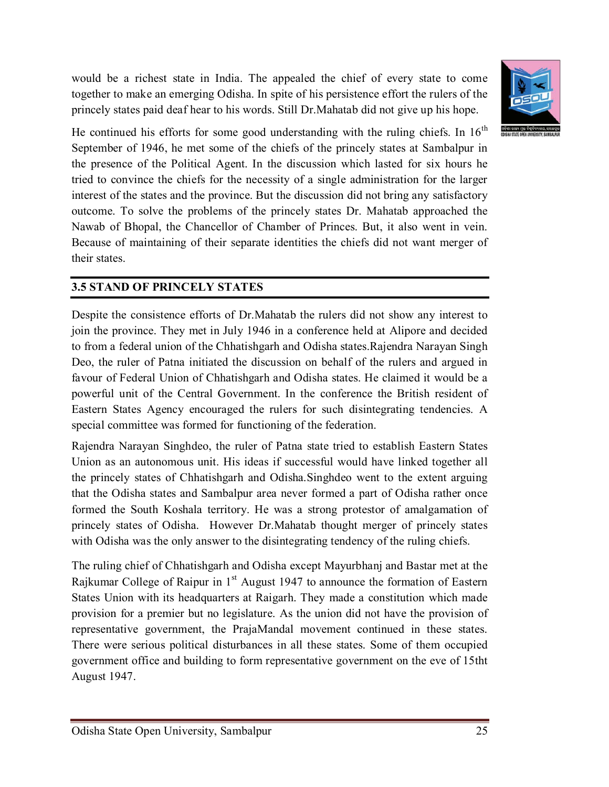would be a richest state in India. The appealed the chief of every state to come together to make an emerging Odisha. In spite of his persistence effort the rulers of the princely states paid deaf hear to his words. Still Dr.Mahatab did not give up his hope.



He continued his efforts for some good understanding with the ruling chiefs. In  $16<sup>th</sup>$ September of 1946, he met some of the chiefs of the princely states at Sambalpur in the presence of the Political Agent. In the discussion which lasted for six hours he tried to convince the chiefs for the necessity of a single administration for the larger interest of the states and the province. But the discussion did not bring any satisfactory outcome. To solve the problems of the princely states Dr. Mahatab approached the Nawab of Bhopal, the Chancellor of Chamber of Princes. But, it also went in vein. Because of maintaining of their separate identities the chiefs did not want merger of their states.

# **3.5 STAND OF PRINCELY STATES**

Despite the consistence efforts of Dr.Mahatab the rulers did not show any interest to join the province. They met in July 1946 in a conference held at Alipore and decided to from a federal union of the Chhatishgarh and Odisha states.Rajendra Narayan Singh Deo, the ruler of Patna initiated the discussion on behalf of the rulers and argued in favour of Federal Union of Chhatishgarh and Odisha states. He claimed it would be a powerful unit of the Central Government. In the conference the British resident of Eastern States Agency encouraged the rulers for such disintegrating tendencies. A special committee was formed for functioning of the federation.

Rajendra Narayan Singhdeo, the ruler of Patna state tried to establish Eastern States Union as an autonomous unit. His ideas if successful would have linked together all the princely states of Chhatishgarh and Odisha.Singhdeo went to the extent arguing that the Odisha states and Sambalpur area never formed a part of Odisha rather once formed the South Koshala territory. He was a strong protestor of amalgamation of princely states of Odisha. However Dr.Mahatab thought merger of princely states with Odisha was the only answer to the disintegrating tendency of the ruling chiefs.

The ruling chief of Chhatishgarh and Odisha except Mayurbhanj and Bastar met at the Rajkumar College of Raipur in  $1<sup>st</sup>$  August 1947 to announce the formation of Eastern States Union with its headquarters at Raigarh. They made a constitution which made provision for a premier but no legislature. As the union did not have the provision of representative government, the PrajaMandal movement continued in these states. There were serious political disturbances in all these states. Some of them occupied government office and building to form representative government on the eve of 15tht August 1947.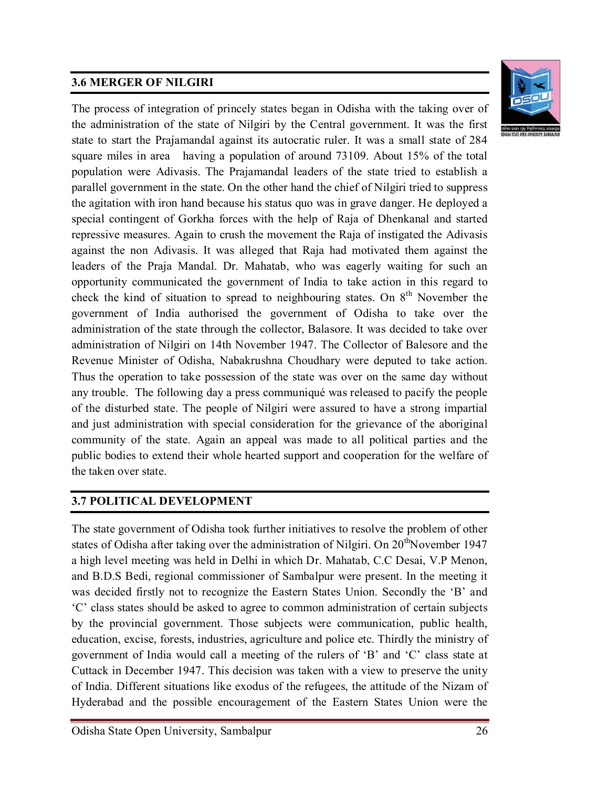# **3.6 MERGER OF NILGIRI**



The process of integration of princely states began in Odisha with the taking over of the administration of the state of Nilgiri by the Central government. It was the first state to start the Prajamandal against its autocratic ruler. It was a small state of 284 square miles in area having a population of around 73109. About 15% of the total population were Adivasis. The Prajamandal leaders of the state tried to establish a parallel government in the state. On the other hand the chief of Nilgiri tried to suppress the agitation with iron hand because his status quo was in grave danger. He deployed a special contingent of Gorkha forces with the help of Raja of Dhenkanal and started repressive measures. Again to crush the movement the Raja of instigated the Adivasis against the non Adivasis. It was alleged that Raja had motivated them against the leaders of the Praja Mandal. Dr. Mahatab, who was eagerly waiting for such an opportunity communicated the government of India to take action in this regard to check the kind of situation to spread to neighbouring states. On  $8<sup>th</sup>$  November the government of India authorised the government of Odisha to take over the administration of the state through the collector, Balasore. It was decided to take over administration of Nilgiri on 14th November 1947. The Collector of Balesore and the Revenue Minister of Odisha, Nabakrushna Choudhary were deputed to take action. Thus the operation to take possession of the state was over on the same day without any trouble. The following day a press communiqué was released to pacify the people of the disturbed state. The people of Nilgiri were assured to have a strong impartial and just administration with special consideration for the grievance of the aboriginal community of the state. Again an appeal was made to all political parties and the public bodies to extend their whole hearted support and cooperation for the welfare of the taken over state.

# **3.7 POLITICAL DEVELOPMENT**

The state government of Odisha took further initiatives to resolve the problem of other states of Odisha after taking over the administration of Nilgiri. On  $20<sup>th</sup>$ November 1947 a high level meeting was held in Delhi in which Dr. Mahatab, C.C Desai, V.P Menon, and B.D.S Bedi, regional commissioner of Sambalpur were present. In the meeting it was decided firstly not to recognize the Eastern States Union. Secondly the 'B' and 'C' class states should be asked to agree to common administration of certain subjects by the provincial government. Those subjects were communication, public health, education, excise, forests, industries, agriculture and police etc. Thirdly the ministry of government of India would call a meeting of the rulers of 'B' and 'C' class state at Cuttack in December 1947. This decision was taken with a view to preserve the unity of India. Different situations like exodus of the refugees, the attitude of the Nizam of Hyderabad and the possible encouragement of the Eastern States Union were the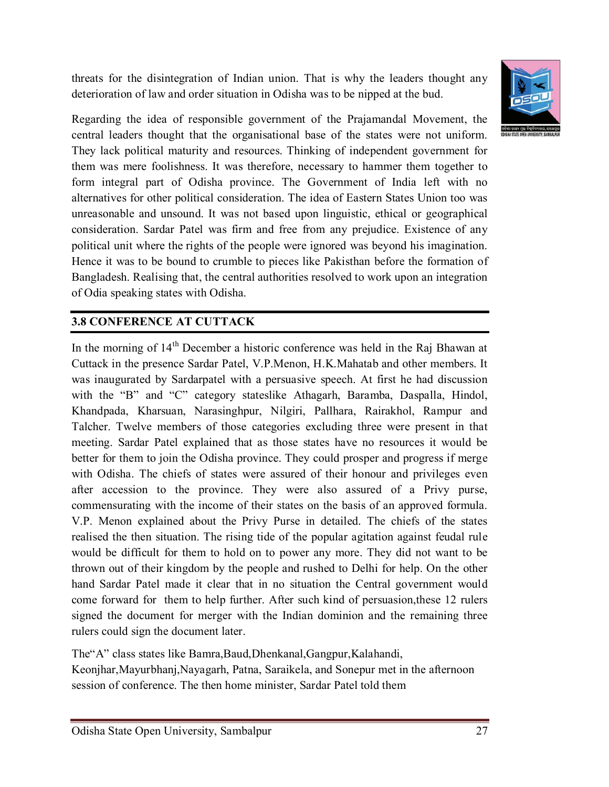threats for the disintegration of Indian union. That is why the leaders thought any deterioration of law and order situation in Odisha was to be nipped at the bud.



Regarding the idea of responsible government of the Prajamandal Movement, the central leaders thought that the organisational base of the states were not uniform. They lack political maturity and resources. Thinking of independent government for them was mere foolishness. It was therefore, necessary to hammer them together to form integral part of Odisha province. The Government of India left with no alternatives for other political consideration. The idea of Eastern States Union too was unreasonable and unsound. It was not based upon linguistic, ethical or geographical consideration. Sardar Patel was firm and free from any prejudice. Existence of any political unit where the rights of the people were ignored was beyond his imagination. Hence it was to be bound to crumble to pieces like Pakisthan before the formation of Bangladesh. Realising that, the central authorities resolved to work upon an integration of Odia speaking states with Odisha.

# **3.8 CONFERENCE AT CUTTACK**

In the morning of  $14<sup>th</sup>$  December a historic conference was held in the Raj Bhawan at Cuttack in the presence Sardar Patel, V.P.Menon, H.K.Mahatab and other members. It was inaugurated by Sardarpatel with a persuasive speech. At first he had discussion with the "B" and "C" category stateslike Athagarh, Baramba, Daspalla, Hindol, Khandpada, Kharsuan, Narasinghpur, Nilgiri, Pallhara, Rairakhol, Rampur and Talcher. Twelve members of those categories excluding three were present in that meeting. Sardar Patel explained that as those states have no resources it would be better for them to join the Odisha province. They could prosper and progress if merge with Odisha. The chiefs of states were assured of their honour and privileges even after accession to the province. They were also assured of a Privy purse, commensurating with the income of their states on the basis of an approved formula. V.P. Menon explained about the Privy Purse in detailed. The chiefs of the states realised the then situation. The rising tide of the popular agitation against feudal rule would be difficult for them to hold on to power any more. They did not want to be thrown out of their kingdom by the people and rushed to Delhi for help. On the other hand Sardar Patel made it clear that in no situation the Central government would come forward for them to help further. After such kind of persuasion,these 12 rulers signed the document for merger with the Indian dominion and the remaining three rulers could sign the document later.

The"A" class states like Bamra,Baud,Dhenkanal,Gangpur,Kalahandi, Keonjhar,Mayurbhanj,Nayagarh, Patna, Saraikela, and Sonepur met in the afternoon session of conference. The then home minister, Sardar Patel told them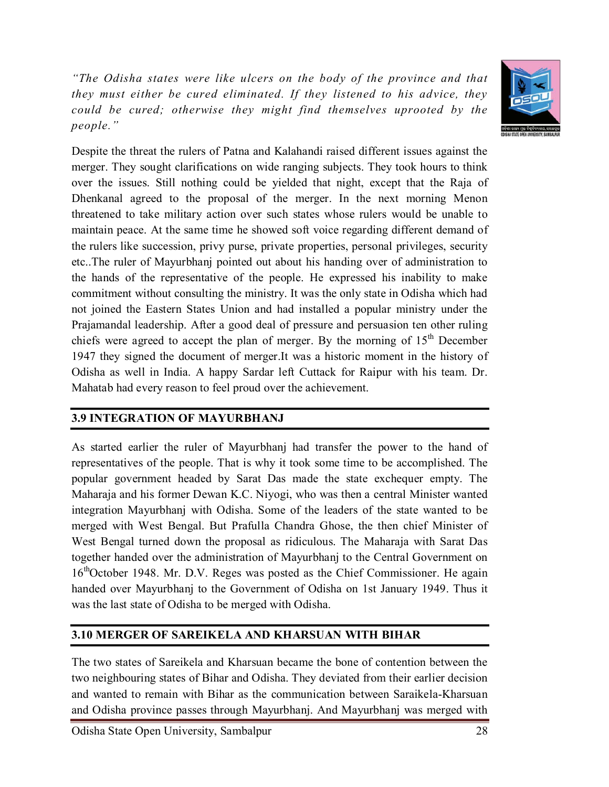*"The Odisha states were like ulcers on the body of the province and that they must either be cured eliminated. If they listened to his advice, they could be cured; otherwise they might find themselves uprooted by the people."*



Despite the threat the rulers of Patna and Kalahandi raised different issues against the merger. They sought clarifications on wide ranging subjects. They took hours to think over the issues. Still nothing could be yielded that night, except that the Raja of Dhenkanal agreed to the proposal of the merger. In the next morning Menon threatened to take military action over such states whose rulers would be unable to maintain peace. At the same time he showed soft voice regarding different demand of the rulers like succession, privy purse, private properties, personal privileges, security etc..The ruler of Mayurbhanj pointed out about his handing over of administration to the hands of the representative of the people. He expressed his inability to make commitment without consulting the ministry. It was the only state in Odisha which had not joined the Eastern States Union and had installed a popular ministry under the Prajamandal leadership. After a good deal of pressure and persuasion ten other ruling chiefs were agreed to accept the plan of merger. By the morning of  $15<sup>th</sup>$  December 1947 they signed the document of merger.It was a historic moment in the history of Odisha as well in India. A happy Sardar left Cuttack for Raipur with his team. Dr. Mahatab had every reason to feel proud over the achievement.

# **3.9 INTEGRATION OF MAYURBHANJ**

As started earlier the ruler of Mayurbhanj had transfer the power to the hand of representatives of the people. That is why it took some time to be accomplished. The popular government headed by Sarat Das made the state exchequer empty. The Maharaja and his former Dewan K.C. Niyogi, who was then a central Minister wanted integration Mayurbhanj with Odisha. Some of the leaders of the state wanted to be merged with West Bengal. But Prafulla Chandra Ghose, the then chief Minister of West Bengal turned down the proposal as ridiculous. The Maharaja with Sarat Das together handed over the administration of Mayurbhanj to the Central Government on 16<sup>th</sup>October 1948. Mr. D.V. Reges was posted as the Chief Commissioner. He again handed over Mayurbhanj to the Government of Odisha on 1st January 1949. Thus it was the last state of Odisha to be merged with Odisha.

# **3.10 MERGER OF SAREIKELA AND KHARSUAN WITH BIHAR**

The two states of Sareikela and Kharsuan became the bone of contention between the two neighbouring states of Bihar and Odisha. They deviated from their earlier decision and wanted to remain with Bihar as the communication between Saraikela-Kharsuan and Odisha province passes through Mayurbhanj. And Mayurbhanj was merged with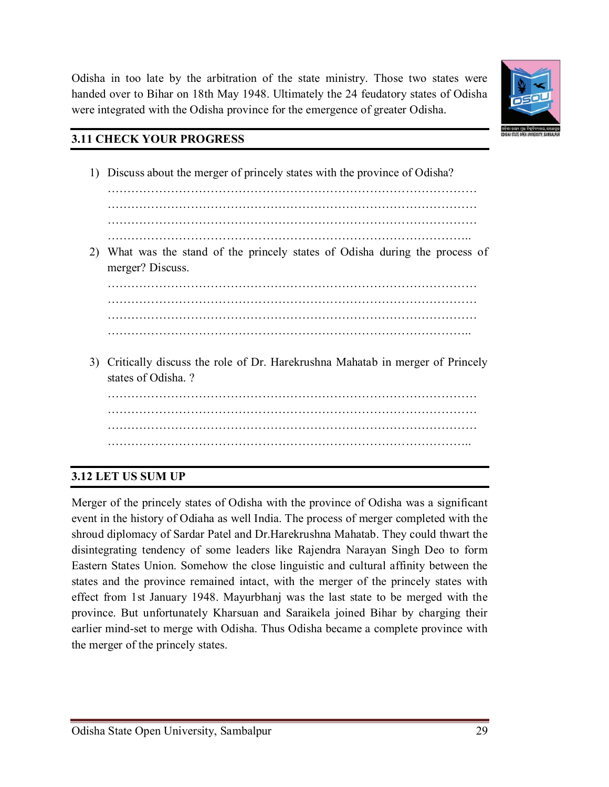

**3.12 LET US SUM UP**

Odisha in too late by the arbitration of the state ministry. Those two states were handed over to Bihar on 18th May 1948. Ultimately the 24 feudatory states of Odisha were integrated with the Odisha province for the emergence of greater Odisha.

#### **3.11 CHECK YOUR PROGRESS**

1) Discuss about the merger of princely states with the province of Odisha? ………………………………………………………………………………… ………………………………………………………………………………… ………………………………………………………………………………… ……………………………………………………………………………….. 2) What was the stand of the princely states of Odisha during the process of merger? Discuss. ………………………………………………………………………………… ………………………………………………………………………………… 3) Critically discuss the role of Dr. Harekrushna Mahatab in merger of Princely states of Odisha. ? ………………………………………………………………………………… …………………………………………………………………………………

…………………………………………………………………………………

………………………………………………………………………………..

Merger of the princely states of Odisha with the province of Odisha was a significant event in the history of Odiaha as well India. The process of merger completed with the shroud diplomacy of Sardar Patel and Dr.Harekrushna Mahatab. They could thwart the disintegrating tendency of some leaders like Rajendra Narayan Singh Deo to form Eastern States Union. Somehow the close linguistic and cultural affinity between the states and the province remained intact, with the merger of the princely states with effect from 1st January 1948. Mayurbhanj was the last state to be merged with the province. But unfortunately Kharsuan and Saraikela joined Bihar by charging their earlier mind-set to merge with Odisha. Thus Odisha became a complete province with the merger of the princely states.